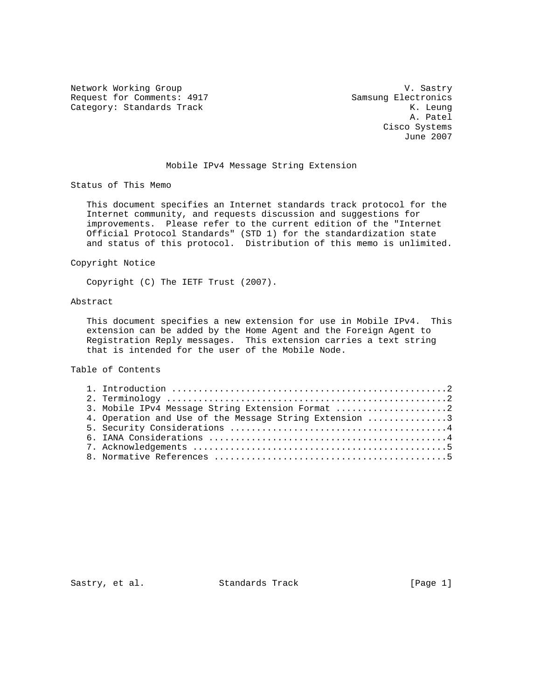Network Working Group and the Communication of the V. Sastry Request for Comments: 4917 Samsung Electronics Category: Standards Track K. Leung

 A. Patel Cisco Systems June 2007

## Mobile IPv4 Message String Extension

Status of This Memo

 This document specifies an Internet standards track protocol for the Internet community, and requests discussion and suggestions for improvements. Please refer to the current edition of the "Internet Official Protocol Standards" (STD 1) for the standardization state and status of this protocol. Distribution of this memo is unlimited.

Copyright Notice

Copyright (C) The IETF Trust (2007).

## Abstract

 This document specifies a new extension for use in Mobile IPv4. This extension can be added by the Home Agent and the Foreign Agent to Registration Reply messages. This extension carries a text string that is intended for the user of the Mobile Node.

Table of Contents

|  | 3. Mobile IPv4 Message String Extension Format 2       |  |
|--|--------------------------------------------------------|--|
|  | 4. Operation and Use of the Message String Extension 3 |  |
|  |                                                        |  |
|  |                                                        |  |
|  |                                                        |  |
|  |                                                        |  |
|  |                                                        |  |

Sastry, et al. Standards Track [Page 1]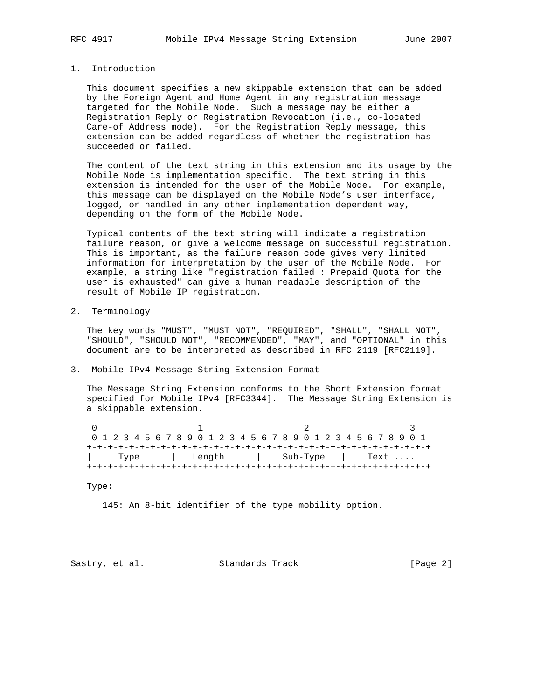## 1. Introduction

 This document specifies a new skippable extension that can be added by the Foreign Agent and Home Agent in any registration message targeted for the Mobile Node. Such a message may be either a Registration Reply or Registration Revocation (i.e., co-located Care-of Address mode). For the Registration Reply message, this extension can be added regardless of whether the registration has succeeded or failed.

 The content of the text string in this extension and its usage by the Mobile Node is implementation specific. The text string in this extension is intended for the user of the Mobile Node. For example, this message can be displayed on the Mobile Node's user interface, logged, or handled in any other implementation dependent way, depending on the form of the Mobile Node.

 Typical contents of the text string will indicate a registration failure reason, or give a welcome message on successful registration. This is important, as the failure reason code gives very limited information for interpretation by the user of the Mobile Node. For example, a string like "registration failed : Prepaid Quota for the user is exhausted" can give a human readable description of the result of Mobile IP registration.

2. Terminology

 The key words "MUST", "MUST NOT", "REQUIRED", "SHALL", "SHALL NOT", "SHOULD", "SHOULD NOT", "RECOMMENDED", "MAY", and "OPTIONAL" in this document are to be interpreted as described in RFC 2119 [RFC2119].

3. Mobile IPv4 Message String Extension Format

 The Message String Extension conforms to the Short Extension format specified for Mobile IPv4 [RFC3344]. The Message String Extension is a skippable extension.

| 0 1 2 3 4 5 6 7 8 9 0 1 2 3 4 5 6 7 8 9 0 1 2 3 4 5 6 7 8 9 0 1 |  |      |  |  |  |  |  |  |  |  |  |  |                    |  |  |  |  |  |  |  |  |      |  |  |  |  |  |  |
|-----------------------------------------------------------------|--|------|--|--|--|--|--|--|--|--|--|--|--------------------|--|--|--|--|--|--|--|--|------|--|--|--|--|--|--|
|                                                                 |  |      |  |  |  |  |  |  |  |  |  |  |                    |  |  |  |  |  |  |  |  |      |  |  |  |  |  |  |
|                                                                 |  | Type |  |  |  |  |  |  |  |  |  |  | Length    Sub-Type |  |  |  |  |  |  |  |  | Text |  |  |  |  |  |  |
|                                                                 |  |      |  |  |  |  |  |  |  |  |  |  |                    |  |  |  |  |  |  |  |  |      |  |  |  |  |  |  |

Type:

145: An 8-bit identifier of the type mobility option.

Sastry, et al. Standards Track [Page 2]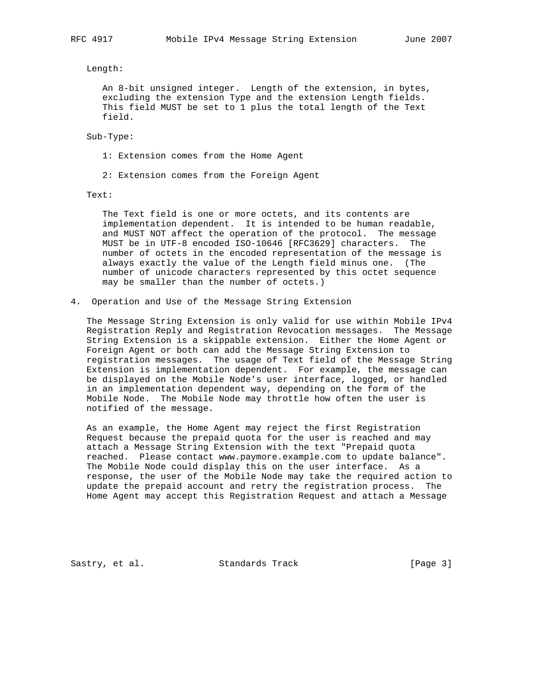Length:

 An 8-bit unsigned integer. Length of the extension, in bytes, excluding the extension Type and the extension Length fields. This field MUST be set to 1 plus the total length of the Text field.

Sub-Type:

1: Extension comes from the Home Agent

2: Extension comes from the Foreign Agent

Text:

 The Text field is one or more octets, and its contents are implementation dependent. It is intended to be human readable, and MUST NOT affect the operation of the protocol. The message MUST be in UTF-8 encoded ISO-10646 [RFC3629] characters. The number of octets in the encoded representation of the message is always exactly the value of the Length field minus one. (The number of unicode characters represented by this octet sequence may be smaller than the number of octets.)

4. Operation and Use of the Message String Extension

 The Message String Extension is only valid for use within Mobile IPv4 Registration Reply and Registration Revocation messages. The Message String Extension is a skippable extension. Either the Home Agent or Foreign Agent or both can add the Message String Extension to registration messages. The usage of Text field of the Message String Extension is implementation dependent. For example, the message can be displayed on the Mobile Node's user interface, logged, or handled in an implementation dependent way, depending on the form of the Mobile Node. The Mobile Node may throttle how often the user is notified of the message.

 As an example, the Home Agent may reject the first Registration Request because the prepaid quota for the user is reached and may attach a Message String Extension with the text "Prepaid quota reached. Please contact www.paymore.example.com to update balance". The Mobile Node could display this on the user interface. As a response, the user of the Mobile Node may take the required action to update the prepaid account and retry the registration process. The Home Agent may accept this Registration Request and attach a Message

Sastry, et al. Standards Track [Page 3]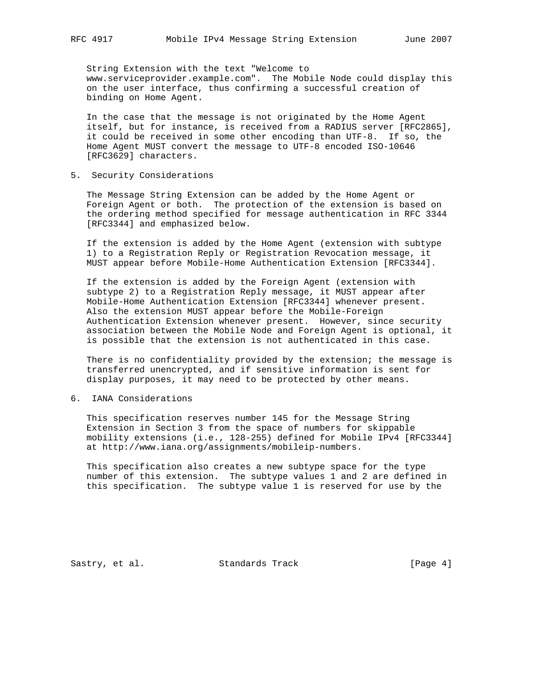String Extension with the text "Welcome to www.serviceprovider.example.com". The Mobile Node could display this on the user interface, thus confirming a successful creation of binding on Home Agent.

 In the case that the message is not originated by the Home Agent itself, but for instance, is received from a RADIUS server [RFC2865], it could be received in some other encoding than UTF-8. If so, the Home Agent MUST convert the message to UTF-8 encoded ISO-10646 [RFC3629] characters.

5. Security Considerations

 The Message String Extension can be added by the Home Agent or Foreign Agent or both. The protection of the extension is based on the ordering method specified for message authentication in RFC 3344 [RFC3344] and emphasized below.

 If the extension is added by the Home Agent (extension with subtype 1) to a Registration Reply or Registration Revocation message, it MUST appear before Mobile-Home Authentication Extension [RFC3344].

 If the extension is added by the Foreign Agent (extension with subtype 2) to a Registration Reply message, it MUST appear after Mobile-Home Authentication Extension [RFC3344] whenever present. Also the extension MUST appear before the Mobile-Foreign Authentication Extension whenever present. However, since security association between the Mobile Node and Foreign Agent is optional, it is possible that the extension is not authenticated in this case.

 There is no confidentiality provided by the extension; the message is transferred unencrypted, and if sensitive information is sent for display purposes, it may need to be protected by other means.

6. IANA Considerations

 This specification reserves number 145 for the Message String Extension in Section 3 from the space of numbers for skippable mobility extensions (i.e., 128-255) defined for Mobile IPv4 [RFC3344] at http://www.iana.org/assignments/mobileip-numbers.

 This specification also creates a new subtype space for the type number of this extension. The subtype values 1 and 2 are defined in this specification. The subtype value 1 is reserved for use by the

Sastry, et al. Standards Track [Page 4]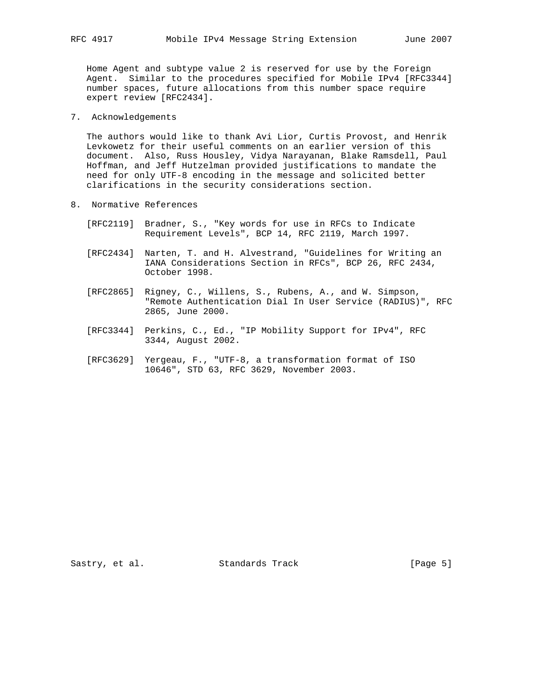Home Agent and subtype value 2 is reserved for use by the Foreign Agent. Similar to the procedures specified for Mobile IPv4 [RFC3344] number spaces, future allocations from this number space require expert review [RFC2434].

7. Acknowledgements

 The authors would like to thank Avi Lior, Curtis Provost, and Henrik Levkowetz for their useful comments on an earlier version of this document. Also, Russ Housley, Vidya Narayanan, Blake Ramsdell, Paul Hoffman, and Jeff Hutzelman provided justifications to mandate the need for only UTF-8 encoding in the message and solicited better clarifications in the security considerations section.

- 8. Normative References
	- [RFC2119] Bradner, S., "Key words for use in RFCs to Indicate Requirement Levels", BCP 14, RFC 2119, March 1997.
	- [RFC2434] Narten, T. and H. Alvestrand, "Guidelines for Writing an IANA Considerations Section in RFCs", BCP 26, RFC 2434, October 1998.
	- [RFC2865] Rigney, C., Willens, S., Rubens, A., and W. Simpson, "Remote Authentication Dial In User Service (RADIUS)", RFC 2865, June 2000.
	- [RFC3344] Perkins, C., Ed., "IP Mobility Support for IPv4", RFC 3344, August 2002.
	- [RFC3629] Yergeau, F., "UTF-8, a transformation format of ISO 10646", STD 63, RFC 3629, November 2003.

Sastry, et al. Standards Track [Page 5]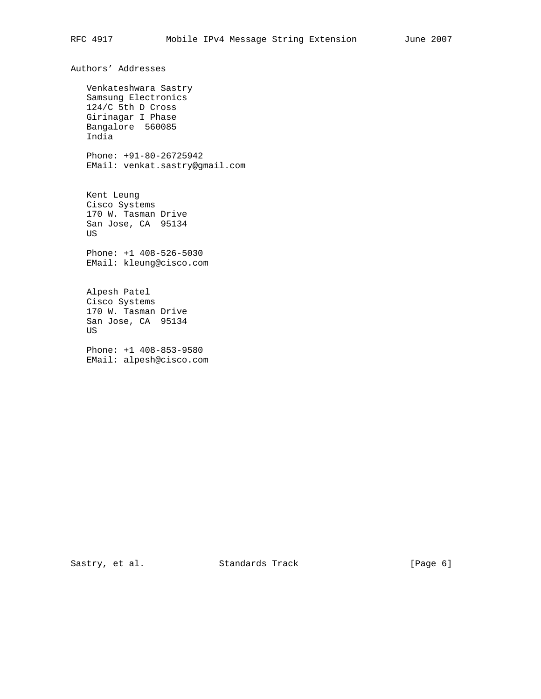Authors' Addresses Venkateshwara Sastry Samsung Electronics 124/C 5th D Cross Girinagar I Phase Bangalore 560085 India Phone: +91-80-26725942 EMail: venkat.sastry@gmail.com Kent Leung Cisco Systems 170 W. Tasman Drive San Jose, CA 95134 US Phone: +1 408-526-5030 EMail: kleung@cisco.com Alpesh Patel Cisco Systems 170 W. Tasman Drive San Jose, CA 95134 US Phone: +1 408-853-9580 EMail: alpesh@cisco.com

Sastry, et al. Standards Track [Page 6]